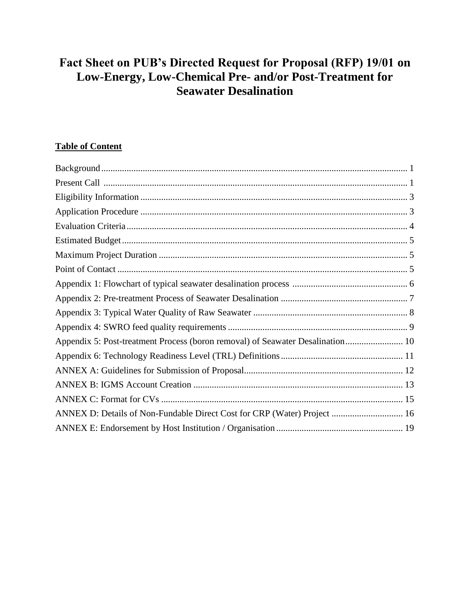# **Fact Sheet on PUB's Directed Request for Proposal (RFP) 19/01 on Low-Energy, Low-Chemical Pre- and/or Post-Treatment for Seawater Desalination**

# **Table of Content**

| Appendix 5: Post-treatment Process (boron removal) of Seawater Desalination 10 |  |
|--------------------------------------------------------------------------------|--|
|                                                                                |  |
|                                                                                |  |
|                                                                                |  |
|                                                                                |  |
| ANNEX D: Details of Non-Fundable Direct Cost for CRP (Water) Project  16       |  |
|                                                                                |  |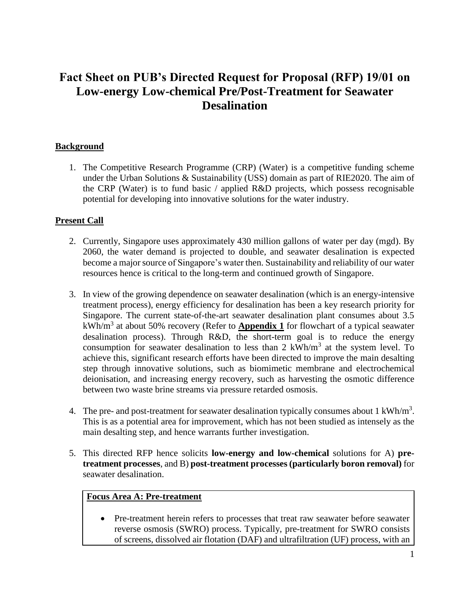# **Fact Sheet on PUB's Directed Request for Proposal (RFP) 19/01 on Low-energy Low-chemical Pre/Post-Treatment for Seawater Desalination**

# **Background**

1. The Competitive Research Programme (CRP) (Water) is a competitive funding scheme under the Urban Solutions & Sustainability (USS) domain as part of RIE2020. The aim of the CRP (Water) is to fund basic / applied R&D projects, which possess recognisable potential for developing into innovative solutions for the water industry.

#### **Present Call**

- 2. Currently, Singapore uses approximately 430 million gallons of water per day (mgd). By 2060, the water demand is projected to double, and seawater desalination is expected become a major source of Singapore's water then. Sustainability and reliability of our water resources hence is critical to the long-term and continued growth of Singapore.
- 3. In view of the growing dependence on seawater desalination (which is an energy-intensive treatment process), energy efficiency for desalination has been a key research priority for Singapore. The current state-of-the-art seawater desalination plant consumes about 3.5 kWh/m<sup>3</sup> at about 50% recovery (Refer to **Appendix 1** for flowchart of a typical seawater desalination process). Through R&D, the short-term goal is to reduce the energy consumption for seawater desalination to less than  $2 \text{ kWh/m}^3$  at the system level. To achieve this, significant research efforts have been directed to improve the main desalting step through innovative solutions, such as biomimetic membrane and electrochemical deionisation, and increasing energy recovery, such as harvesting the osmotic difference between two waste brine streams via pressure retarded osmosis.
- 4. The pre- and post-treatment for seawater desalination typically consumes about 1 kWh/m<sup>3</sup>. This is as a potential area for improvement, which has not been studied as intensely as the main desalting step, and hence warrants further investigation.
- 5. This directed RFP hence solicits **low-energy and low-chemical** solutions for A) **pretreatment processes**, and B) **post-treatment processes (particularly boron removal)** for seawater desalination.

#### **Focus Area A: Pre-treatment**

 Pre-treatment herein refers to processes that treat raw seawater before seawater reverse osmosis (SWRO) process. Typically, pre-treatment for SWRO consists of screens, dissolved air flotation (DAF) and ultrafiltration (UF) process, with an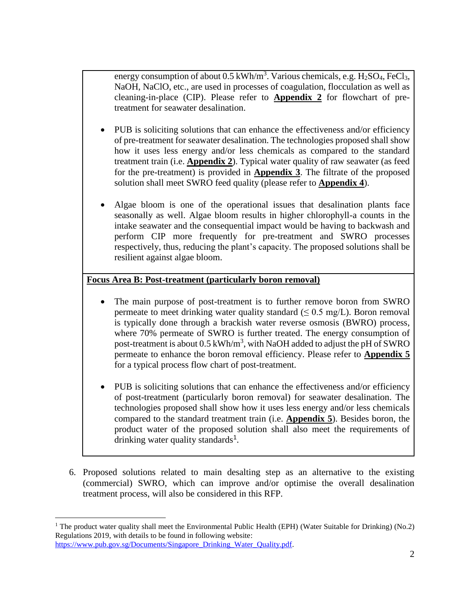energy consumption of about  $0.5 \text{ kWh/m}^3$ . Various chemicals, e.g. H<sub>2</sub>SO<sub>4</sub>, FeCl<sub>3</sub>, NaOH, NaClO, etc., are used in processes of coagulation, flocculation as well as cleaning-in-place (CIP). Please refer to **Appendix 2** for flowchart of pretreatment for seawater desalination.

- PUB is soliciting solutions that can enhance the effectiveness and/or efficiency of pre-treatment for seawater desalination. The technologies proposed shall show how it uses less energy and/or less chemicals as compared to the standard treatment train (i.e. **Appendix 2**). Typical water quality of raw seawater (as feed for the pre-treatment) is provided in **Appendix 3**. The filtrate of the proposed solution shall meet SWRO feed quality (please refer to **Appendix 4**).
- Algae bloom is one of the operational issues that desalination plants face seasonally as well. Algae bloom results in higher chlorophyll-a counts in the intake seawater and the consequential impact would be having to backwash and perform CIP more frequently for pre-treatment and SWRO processes respectively, thus, reducing the plant's capacity. The proposed solutions shall be resilient against algae bloom.

# **Focus Area B: Post-treatment (particularly boron removal)**

- The main purpose of post-treatment is to further remove boron from SWRO permeate to meet drinking water quality standard ( $\leq 0.5$  mg/L). Boron removal is typically done through a brackish water reverse osmosis (BWRO) process, where 70% permeate of SWRO is further treated. The energy consumption of post-treatment is about  $0.5 \text{ kWh/m}^3$ , with NaOH added to adjust the pH of SWRO permeate to enhance the boron removal efficiency. Please refer to **Appendix 5** for a typical process flow chart of post-treatment.
- PUB is soliciting solutions that can enhance the effectiveness and/or efficiency of post-treatment (particularly boron removal) for seawater desalination. The technologies proposed shall show how it uses less energy and/or less chemicals compared to the standard treatment train (i.e. **Appendix 5**). Besides boron, the product water of the proposed solution shall also meet the requirements of drinking water quality standards<sup>1</sup>.
- 6. Proposed solutions related to main desalting step as an alternative to the existing (commercial) SWRO, which can improve and/or optimise the overall desalination treatment process, will also be considered in this RFP.

 $\overline{a}$ 

<sup>&</sup>lt;sup>1</sup> The product water quality shall meet the Environmental Public Health (EPH) (Water Suitable for Drinking) (No.2) Regulations 2019, with details to be found in following website:

[https://www.pub.gov.sg/Documents/Singapore\\_Drinking\\_Water\\_Quality.pdf.](https://www.pub.gov.sg/Documents/Singapore_Drinking_Water_Quality.pdf)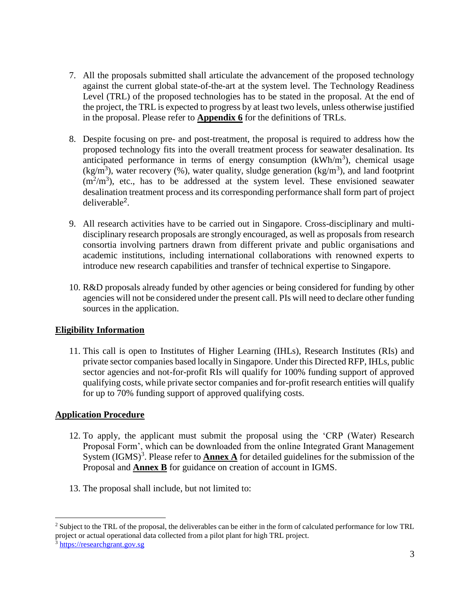- 7. All the proposals submitted shall articulate the advancement of the proposed technology against the current global state-of-the-art at the system level. The Technology Readiness Level (TRL) of the proposed technologies has to be stated in the proposal. At the end of the project, the TRL is expected to progress by at least two levels, unless otherwise justified in the proposal. Please refer to **Appendix 6** for the definitions of TRLs.
- 8. Despite focusing on pre- and post-treatment, the proposal is required to address how the proposed technology fits into the overall treatment process for seawater desalination. Its anticipated performance in terms of energy consumption  $(kWh/m<sup>3</sup>)$ , chemical usage  $(kg/m<sup>3</sup>)$ , water recovery (%), water quality, sludge generation (kg/m<sup>3</sup>), and land footprint  $(m<sup>2</sup>/m<sup>3</sup>)$ , etc., has to be addressed at the system level. These envisioned seawater desalination treatment process and its corresponding performance shall form part of project deliverable<sup>2</sup> .
- 9. All research activities have to be carried out in Singapore. Cross-disciplinary and multidisciplinary research proposals are strongly encouraged, as well as proposals from research consortia involving partners drawn from different private and public organisations and academic institutions, including international collaborations with renowned experts to introduce new research capabilities and transfer of technical expertise to Singapore.
- 10. R&D proposals already funded by other agencies or being considered for funding by other agencies will not be considered under the present call. PIs will need to declare other funding sources in the application.

# <span id="page-3-0"></span>**Eligibility Information**

11. This call is open to Institutes of Higher Learning (IHLs), Research Institutes (RIs) and private sector companies based locally in Singapore. Under this Directed RFP, IHLs, public sector agencies and not-for-profit RIs will qualify for 100% funding support of approved qualifying costs, while private sector companies and for-profit research entities will qualify for up to 70% funding support of approved qualifying costs.

# <span id="page-3-1"></span>**Application Procedure**

- 12. To apply, the applicant must submit the proposal using the 'CRP (Water) Research Proposal Form', which can be downloaded from the online Integrated Grant Management System  $(IGMS)^3$ . Please refer to **Annex A** for detailed guidelines for the submission of the Proposal and **Annex B** for guidance on creation of account in IGMS.
- 13. The proposal shall include, but not limited to:

 $\overline{a}$ 

<sup>&</sup>lt;sup>2</sup> Subject to the TRL of the proposal, the deliverables can be either in the form of calculated performance for low TRL project or actual operational data collected from a pilot plant for high TRL project.

<sup>&</sup>lt;sup>3</sup> [https://researchgrant.gov.sg](https://researchgrant.gov.sg/)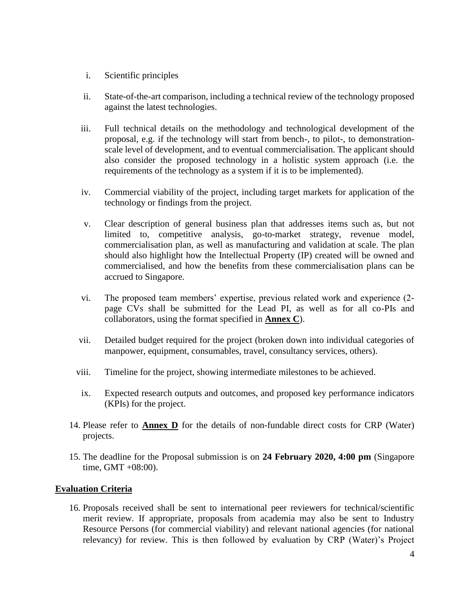- i. Scientific principles
- ii. State-of-the-art comparison, including a technical review of the technology proposed against the latest technologies.
- iii. Full technical details on the methodology and technological development of the proposal, e.g. if the technology will start from bench-, to pilot-, to demonstrationscale level of development, and to eventual commercialisation. The applicant should also consider the proposed technology in a holistic system approach (i.e. the requirements of the technology as a system if it is to be implemented).
- iv. Commercial viability of the project, including target markets for application of the technology or findings from the project.
- v. Clear description of general business plan that addresses items such as, but not limited to, competitive analysis, go-to-market strategy, revenue model, commercialisation plan, as well as manufacturing and validation at scale. The plan should also highlight how the Intellectual Property (IP) created will be owned and commercialised, and how the benefits from these commercialisation plans can be accrued to Singapore.
- vi. The proposed team members' expertise, previous related work and experience (2 page CVs shall be submitted for the Lead PI, as well as for all co-PIs and collaborators, using the format specified in **Annex C**).
- vii. Detailed budget required for the project (broken down into individual categories of manpower, equipment, consumables, travel, consultancy services, others).
- viii. Timeline for the project, showing intermediate milestones to be achieved.
- ix. Expected research outputs and outcomes, and proposed key performance indicators (KPIs) for the project.
- 14. Please refer to **Annex D** for the details of non-fundable direct costs for CRP (Water) projects.
- 15. The deadline for the Proposal submission is on **24 February 2020, 4:00 pm** (Singapore time, GMT +08:00).

# <span id="page-4-0"></span>**Evaluation Criteria**

16. Proposals received shall be sent to international peer reviewers for technical/scientific merit review. If appropriate, proposals from academia may also be sent to Industry Resource Persons (for commercial viability) and relevant national agencies (for national relevancy) for review. This is then followed by evaluation by CRP (Water)'s Project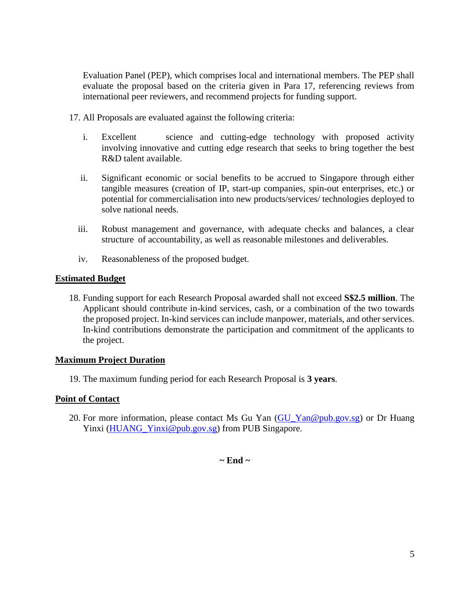Evaluation Panel (PEP), which comprises local and international members. The PEP shall evaluate the proposal based on the criteria given in Para 17, referencing reviews from international peer reviewers, and recommend projects for funding support.

- 17. All Proposals are evaluated against the following criteria:
	- i. Excellent science and cutting-edge technology with proposed activity involving innovative and cutting edge research that seeks to bring together the best R&D talent available.
	- ii. Significant economic or social benefits to be accrued to Singapore through either tangible measures (creation of IP, start-up companies, spin-out enterprises, etc.) or potential for commercialisation into new products/services/ technologies deployed to solve national needs.
	- iii. Robust management and governance, with adequate checks and balances, a clear structure of accountability, as well as reasonable milestones and deliverables.
	- iv. Reasonableness of the proposed budget.

#### <span id="page-5-0"></span>**Estimated Budget**

18. Funding support for each Research Proposal awarded shall not exceed **S\$2.5 million**. The Applicant should contribute in-kind services, cash, or a combination of the two towards the proposed project. In-kind services can include manpower, materials, and other services. In-kind contributions demonstrate the participation and commitment of the applicants to the project.

#### <span id="page-5-1"></span>**Maximum Project Duration**

19. The maximum funding period for each Research Proposal is **3 years**.

# <span id="page-5-2"></span>**Point of Contact**

20. For more information, please contact Ms Gu Yan [\(GU\\_Yan@pub.gov.sg\)](mailto:GU_Yan@pub.gov.sg) or Dr Huang Yinxi [\(HUANG\\_Yinxi@pub.gov.sg\)](mailto:HUANG_Yinxi@pub.gov.sg) from PUB Singapore.

# **~ End ~**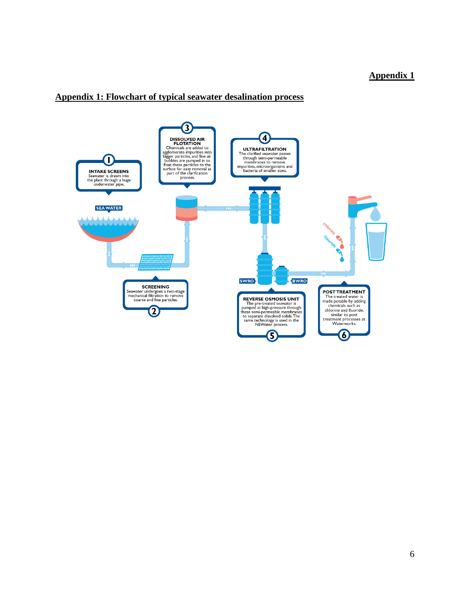# **Appendix 1: Flowchart of typical seawater desalination process**

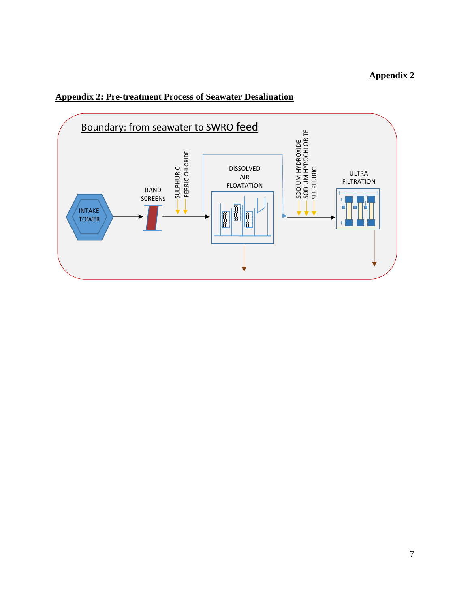

# <span id="page-7-0"></span>**Appendix 2: Pre-treatment Process of Seawater Desalination**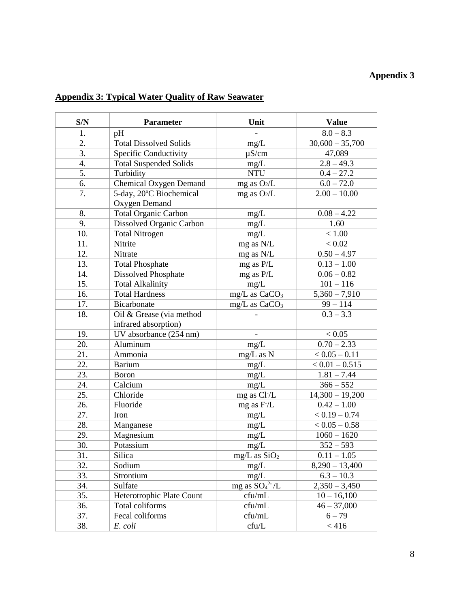| <b>Appendix 3: Typical Water Quality of Raw Seawater</b> |
|----------------------------------------------------------|
|----------------------------------------------------------|

| S/N              | <b>Parameter</b>              | Unit                      | <b>Value</b>      |
|------------------|-------------------------------|---------------------------|-------------------|
| 1.               | pH                            |                           | $8.0 - 8.3$       |
| 2.               | <b>Total Dissolved Solids</b> | mg/L                      | $30,600 - 35,700$ |
| $\overline{3}$ . | Specific Conductivity         | $\mu$ S/cm                | 47,089            |
| 4.               | <b>Total Suspended Solids</b> | mg/L                      | $2.8 - 49.3$      |
| 5.               | Turbidity                     | <b>NTU</b>                | $0.4 - 27.2$      |
| 6.               | Chemical Oxygen Demand        | mg as O2/L                | $6.0 - 72.0$      |
| 7.               | 5-day, 20°C Biochemical       | mg as $O_2/L$             | $2.00 - 10.00$    |
|                  | Oxygen Demand                 |                           |                   |
| 8.               | <b>Total Organic Carbon</b>   | mg/L                      | $0.08 - 4.22$     |
| 9.               | Dissolved Organic Carbon      | mg/L                      | 1.60              |
| 10.              | <b>Total Nitrogen</b>         | mg/L                      | < 1.00            |
| 11.              | Nitrite                       | mg as N/L                 | < 0.02            |
| 12.              | Nitrate                       | mg as N/L                 | $0.50 - 4.97$     |
| 13.              | <b>Total Phosphate</b>        | mg as P/L                 | $0.13 - 1.00$     |
| 14.              | Dissolved Phosphate           | mg as P/L                 | $0.06 - 0.82$     |
| 15.              | <b>Total Alkalinity</b>       | mg/L                      | $101 - 116$       |
| 16.              | <b>Total Hardness</b>         | mg/L as CaCO <sub>3</sub> | $5,360 - 7,910$   |
| 17.              | Bicarbonate                   | mg/L as CaCO <sub>3</sub> | $99 - 114$        |
| 18.              | Oil & Grease (via method      |                           | $0.3 - 3.3$       |
|                  | infrared absorption)          |                           |                   |
| 19.              | UV absorbance (254 nm)        | $\blacksquare$            | < 0.05            |
| 20.              | Aluminum                      | mg/L                      | $0.70 - 2.33$     |
| 21.              | Ammonia                       | mg/L as N                 | $< 0.05 - 0.11$   |
| 22.              | <b>Barium</b>                 | mg/L                      | $< 0.01 - 0.515$  |
| 23.              | <b>Boron</b>                  | mg/L                      | $1.81 - 7.44$     |
| 24.              | Calcium                       | mg/L                      | $366 - 552$       |
| 25.              | Chloride                      | mg as Cl <sup>-</sup> /L  | $14,300 - 19,200$ |
| 26.              | Fluoride                      | mg as F/L                 | $0.42 - 1.00$     |
| 27.              | Iron                          | mg/L                      | $< 0.19 - 0.74$   |
| 28.              | Manganese                     | mg/L                      | $< 0.05 - 0.58$   |
| 29.              | Magnesium                     | mg/L                      | $1060 - 1620$     |
| 30.              | Potassium                     | mg/L                      | $352 - 593$       |
| 31.              | Silica                        | $mg/L$ as $SiO2$          | $0.11 - 1.05$     |
| 32.              | Sodium                        | mg/L                      | $8,290 - 13,400$  |
| 33.              | Strontium                     | mg/L                      | $6.3 - 10.3$      |
| 34.              | Sulfate                       | mg as $SO_4^{2-}/L$       | $2,350 - 3,450$   |
| 35.              | Heterotrophic Plate Count     | cfu/mL                    | $10 - 16,100$     |
| 36.              | Total coliforms               | cfu/mL                    | $46 - 37,000$     |
| 37.              | Fecal coliforms               | cfu/mL                    | $6 - 79$          |
| 38.              | E. coli                       | cfu/L                     | < 416             |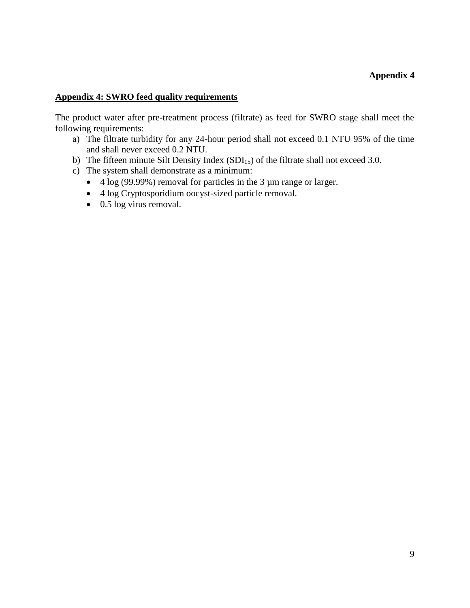#### **Appendix 4: SWRO feed quality requirements**

The product water after pre-treatment process (filtrate) as feed for SWRO stage shall meet the following requirements:

- a) The filtrate turbidity for any 24-hour period shall not exceed 0.1 NTU 95% of the time and shall never exceed 0.2 NTU.
- b) The fifteen minute Silt Density Index  $(SDI<sub>15</sub>)$  of the filtrate shall not exceed 3.0.
- c) The system shall demonstrate as a minimum:
	- $\bullet$  4 log (99.99%) removal for particles in the 3 µm range or larger.
	- 4 log Cryptosporidium oocyst-sized particle removal.
	- $\bullet$  0.5 log virus removal.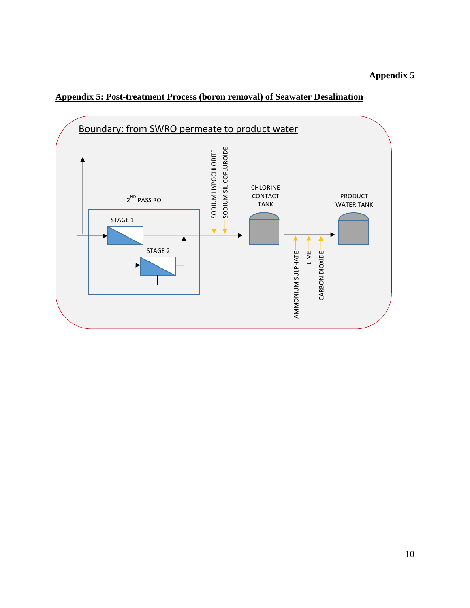# **Appendix 5: Post-treatment Process (boron removal) of Seawater Desalination**

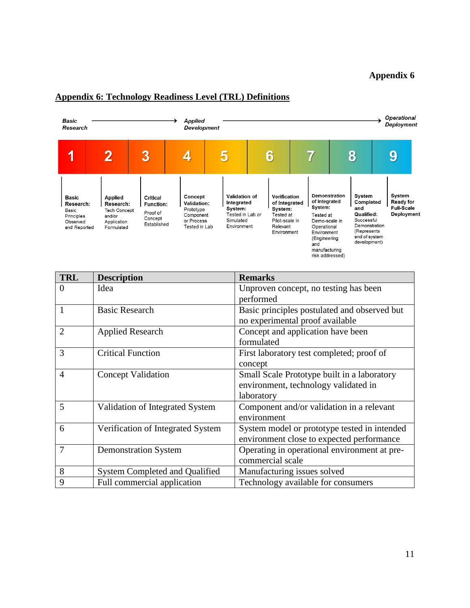#### **Operational Basic** Applied → ≯ Deployment Research **Development**  $\overline{3}$  $\overline{2}$ 4 5 8 9 1  $6\phantom{.}6$  $\overline{7}$ **Demonstration**<br>of Integrated System<br>Ready for<br>Full-Scale Applied<br>Research: Concept Validation of Verification System **Basic** Critical Validation: Integrated of Integrated Completed Research: **Function:** system: Prototype<br>Component System: System: and Tech Concept Basic Proof of Qualified: Deployment Tested in Lab or Tested at Tested at Principles and/or  $Concept$ Successful<br>Demonstration Observed Application<br>Formulated or Process Simulated Pilot-scale in Demo-scale in Established and Reported Tested in Lab Environment Relevant Operational (Represents Environment Environment end of system (Engineering development) and manufacturing<br>risk addressed)

#### <span id="page-11-0"></span>**Appendix 6: Technology Readiness Level (TRL) Definitions**

| <b>TRL</b>     | <b>Description</b>                | <b>Remarks</b>                                                                                    |
|----------------|-----------------------------------|---------------------------------------------------------------------------------------------------|
| $\theta$       | Idea                              | Unproven concept, no testing has been<br>performed                                                |
| 1              | <b>Basic Research</b>             | Basic principles postulated and observed but<br>no experimental proof available                   |
| $\overline{2}$ | <b>Applied Research</b>           | Concept and application have been<br>formulated                                                   |
| 3              | <b>Critical Function</b>          | First laboratory test completed; proof of<br>concept                                              |
| $\overline{4}$ | <b>Concept Validation</b>         | Small Scale Prototype built in a laboratory<br>environment, technology validated in<br>laboratory |
| 5              | Validation of Integrated System   | Component and/or validation in a relevant<br>environment                                          |
| 6              | Verification of Integrated System | System model or prototype tested in intended<br>environment close to expected performance         |
| 7              | <b>Demonstration System</b>       | Operating in operational environment at pre-<br>commercial scale                                  |
| 8              | System Completed and Qualified    | Manufacturing issues solved                                                                       |
| 9              | Full commercial application       | Technology available for consumers                                                                |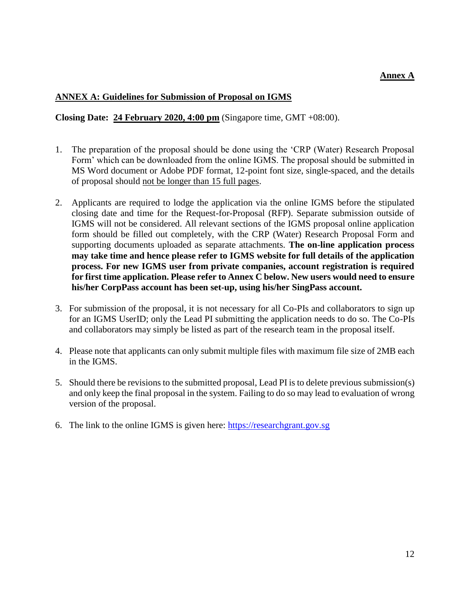# **Annex A**

#### <span id="page-12-0"></span>**ANNEX A: Guidelines for Submission of Proposal on IGMS**

#### **Closing Date: 24 February 2020, 4:00 pm** (Singapore time, GMT +08:00).

- 1. The preparation of the proposal should be done using the 'CRP (Water) Research Proposal Form' which can be downloaded from the online IGMS. The proposal should be submitted in MS Word document or Adobe PDF format, 12-point font size, single-spaced, and the details of proposal should not be longer than 15 full pages.
- 2. Applicants are required to lodge the application via the online IGMS before the stipulated closing date and time for the Request-for-Proposal (RFP). Separate submission outside of IGMS will not be considered. All relevant sections of the IGMS proposal online application form should be filled out completely, with the CRP (Water) Research Proposal Form and supporting documents uploaded as separate attachments. **The on-line application process may take time and hence please refer to IGMS website for full details of the application process. For new IGMS user from private companies, account registration is required for first time application. Please refer to Annex C below. New users would need to ensure his/her CorpPass account has been set-up, using his/her SingPass account.**
- 3. For submission of the proposal, it is not necessary for all Co-PIs and collaborators to sign up for an IGMS UserID; only the Lead PI submitting the application needs to do so. The Co-PIs and collaborators may simply be listed as part of the research team in the proposal itself.
- 4. Please note that applicants can only submit multiple files with maximum file size of 2MB each in the IGMS.
- 5. Should there be revisions to the submitted proposal, Lead PI is to delete previous submission(s) and only keep the final proposal in the system. Failing to do so may lead to evaluation of wrong version of the proposal.
- 6. The link to the online IGMS is given here: [https://researchgrant.gov.sg](https://researchgrant.gov.sg/)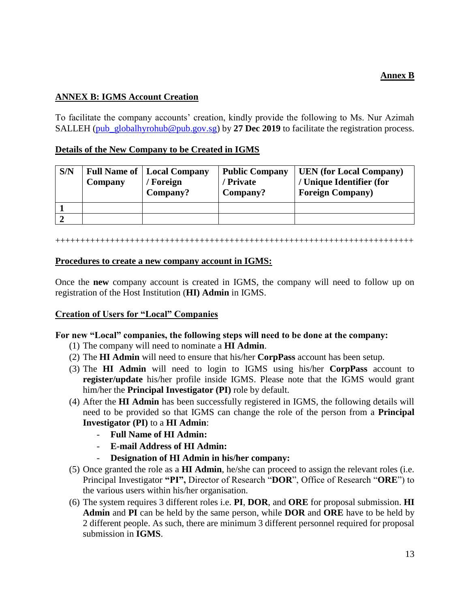# **Annex B**

#### **ANNEX B: IGMS Account Creation**

To facilitate the company accounts' creation, kindly provide the following to Ms. Nur Azimah SALLEH [\(pub\\_globalhyrohub@pub.gov.sg\)](mailto:pub_globalhyrohub@pub.gov.sg) by 27 Dec 2019 to facilitate the registration process.

#### **Details of the New Company to be Created in IGMS**

| S/N | Company | <b>Full Name of   Local Company</b><br>Foreign<br>Company? | <b>Public Company</b><br><b>Private</b><br>Company? | <b>UEN</b> (for Local Company)<br>/ Unique Identifier (for<br><b>Foreign Company</b> ) |
|-----|---------|------------------------------------------------------------|-----------------------------------------------------|----------------------------------------------------------------------------------------|
|     |         |                                                            |                                                     |                                                                                        |
|     |         |                                                            |                                                     |                                                                                        |

#### ++++++++++++++++++++++++++++++++++++++++++++++++++++++++++++++++++++++++

#### **Procedures to create a new company account in IGMS:**

Once the **new** company account is created in IGMS, the company will need to follow up on registration of the Host Institution (**HI) Admin** in IGMS.

#### **Creation of Users for "Local" Companies**

#### **For new "Local" companies, the following steps will need to be done at the company:**

- (1) The company will need to nominate a **HI Admin**.
- (2) The **HI Admin** will need to ensure that his/her **CorpPass** account has been setup.
- (3) The **HI Admin** will need to login to IGMS using his/her **CorpPass** account to **register/update** his/her profile inside IGMS. Please note that the IGMS would grant him/her the **Principal Investigator (PI)** role by default.
- (4) After the **HI Admin** has been successfully registered in IGMS, the following details will need to be provided so that IGMS can change the role of the person from a **Principal Investigator (PI)** to a **HI Admin**:
	- **Full Name of HI Admin:**
	- **E-mail Address of HI Admin:**
	- **Designation of HI Admin in his/her company:**
- (5) Once granted the role as a **HI Admin**, he/she can proceed to assign the relevant roles (i.e. Principal Investigator **"PI",** Director of Research "**DOR**", Office of Research "**ORE**") to the various users within his/her organisation.
- (6) The system requires 3 different roles i.e. **PI**, **DOR**, and **ORE** for proposal submission. **HI Admin** and **PI** can be held by the same person, while **DOR** and **ORE** have to be held by 2 different people. As such, there are minimum 3 different personnel required for proposal submission in **IGMS**.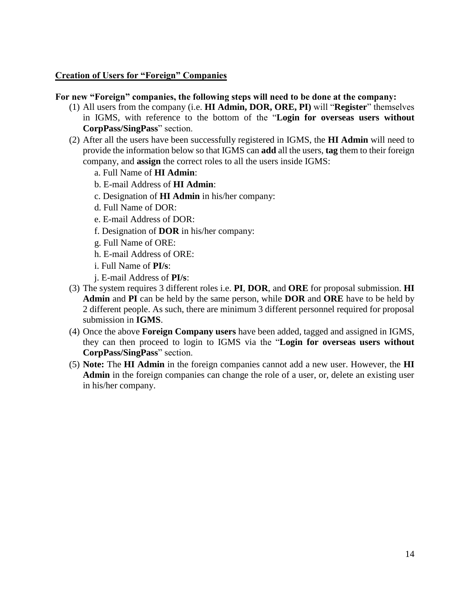#### **Creation of Users for "Foreign" Companies**

#### **For new "Foreign" companies, the following steps will need to be done at the company:**

- (1) All users from the company (i.e. **HI Admin, DOR, ORE, PI)** will "**Register**" themselves in IGMS, with reference to the bottom of the "**Login for overseas users without CorpPass/SingPass**" section.
- (2) After all the users have been successfully registered in IGMS, the **HI Admin** will need to provide the information below so that IGMS can **add** all the users, **tag** them to their foreign company, and **assign** the correct roles to all the users inside IGMS:
	- a. Full Name of **HI Admin**:
	- b. E-mail Address of **HI Admin**:
	- c. Designation of **HI Admin** in his/her company:
	- d. Full Name of DOR:
	- e. E-mail Address of DOR:
	- f. Designation of **DOR** in his/her company:
	- g. Full Name of ORE:
	- h. E-mail Address of ORE:
	- i. Full Name of **PI/s**:
	- j. E-mail Address of **PI/s**:
- (3) The system requires 3 different roles i.e. **PI**, **DOR**, and **ORE** for proposal submission. **HI Admin** and **PI** can be held by the same person, while **DOR** and **ORE** have to be held by 2 different people. As such, there are minimum 3 different personnel required for proposal submission in **IGMS**.
- (4) Once the above **Foreign Company users** have been added, tagged and assigned in IGMS, they can then proceed to login to IGMS via the "**Login for overseas users without CorpPass/SingPass**" section.
- (5) **Note:** The **HI Admin** in the foreign companies cannot add a new user. However, the **HI Admin** in the foreign companies can change the role of a user, or, delete an existing user in his/her company.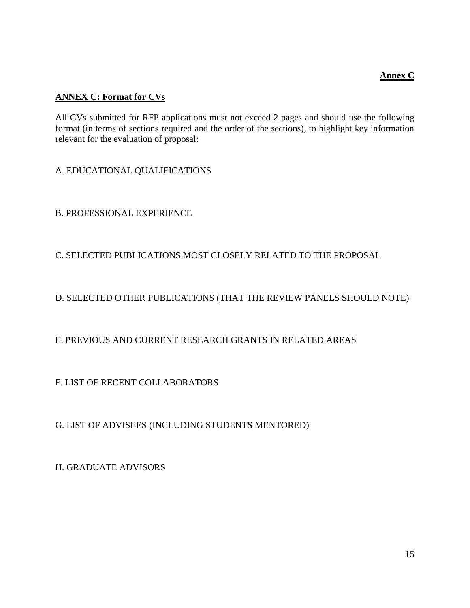# **Annex C**

# <span id="page-15-0"></span>**ANNEX C: Format for CVs**

All CVs submitted for RFP applications must not exceed 2 pages and should use the following format (in terms of sections required and the order of the sections), to highlight key information relevant for the evaluation of proposal:

A. EDUCATIONAL QUALIFICATIONS

B. PROFESSIONAL EXPERIENCE

C. SELECTED PUBLICATIONS MOST CLOSELY RELATED TO THE PROPOSAL

D. SELECTED OTHER PUBLICATIONS (THAT THE REVIEW PANELS SHOULD NOTE)

# E. PREVIOUS AND CURRENT RESEARCH GRANTS IN RELATED AREAS

F. LIST OF RECENT COLLABORATORS

G. LIST OF ADVISEES (INCLUDING STUDENTS MENTORED)

H. GRADUATE ADVISORS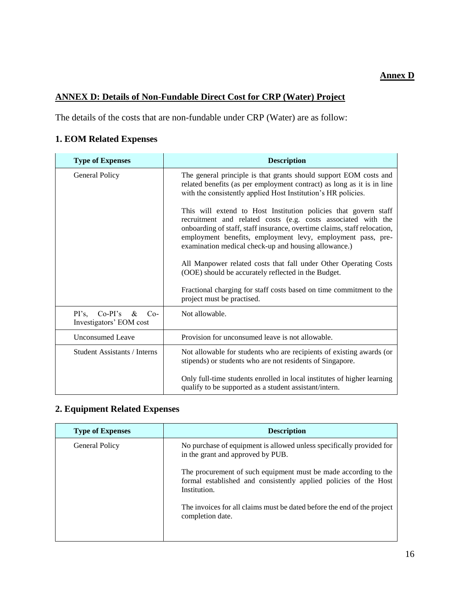# **Annex D**

# <span id="page-16-0"></span>**ANNEX D: Details of Non-Fundable Direct Cost for CRP (Water) Project**

The details of the costs that are non-fundable under CRP (Water) are as follow:

# **1. EOM Related Expenses**

| <b>Type of Expenses</b>                                        | <b>Description</b>                                                                                                                                                                                                                                                                                                                                                                                                                                                                                                                                                  |
|----------------------------------------------------------------|---------------------------------------------------------------------------------------------------------------------------------------------------------------------------------------------------------------------------------------------------------------------------------------------------------------------------------------------------------------------------------------------------------------------------------------------------------------------------------------------------------------------------------------------------------------------|
| General Policy                                                 | The general principle is that grants should support EOM costs and<br>related benefits (as per employment contract) as long as it is in line<br>with the consistently applied Host Institution's HR policies.                                                                                                                                                                                                                                                                                                                                                        |
|                                                                | This will extend to Host Institution policies that govern staff<br>recruitment and related costs (e.g. costs associated with the<br>onboarding of staff, staff insurance, overtime claims, staff relocation,<br>employment benefits, employment levy, employment pass, pre-<br>examination medical check-up and housing allowance.)<br>All Manpower related costs that fall under Other Operating Costs<br>(OOE) should be accurately reflected in the Budget.<br>Fractional charging for staff costs based on time commitment to the<br>project must be practised. |
| $Co-PI's$<br>$PI's$ ,<br>&<br>$Co-$<br>Investigators' EOM cost | Not allowable.                                                                                                                                                                                                                                                                                                                                                                                                                                                                                                                                                      |
| <b>Unconsumed Leave</b>                                        | Provision for unconsumed leave is not allowable.                                                                                                                                                                                                                                                                                                                                                                                                                                                                                                                    |
| <b>Student Assistants / Interns</b>                            | Not allowable for students who are recipients of existing awards (or<br>stipends) or students who are not residents of Singapore.                                                                                                                                                                                                                                                                                                                                                                                                                                   |
|                                                                | Only full-time students enrolled in local institutes of higher learning<br>qualify to be supported as a student assistant/intern.                                                                                                                                                                                                                                                                                                                                                                                                                                   |

# **2. Equipment Related Expenses**

| <b>Description</b>                                                                                                                                  |
|-----------------------------------------------------------------------------------------------------------------------------------------------------|
| No purchase of equipment is allowed unless specifically provided for<br>in the grant and approved by PUB.                                           |
| The procurement of such equipment must be made according to the<br>formal established and consistently applied policies of the Host<br>Institution. |
| The invoices for all claims must be dated before the end of the project<br>completion date.                                                         |
|                                                                                                                                                     |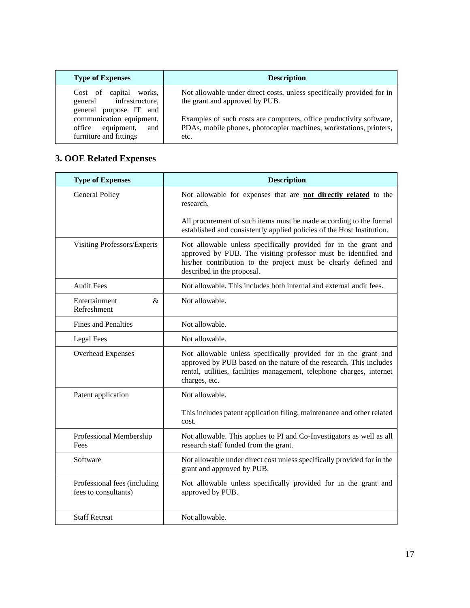| <b>Type of Expenses</b>                                                                                                                                             | <b>Description</b>                                                                                                                                                                                                                                           |
|---------------------------------------------------------------------------------------------------------------------------------------------------------------------|--------------------------------------------------------------------------------------------------------------------------------------------------------------------------------------------------------------------------------------------------------------|
| Cost of capital<br>works.<br>general infrastructure,<br>general purpose IT and<br>communication equipment,<br>equipment,<br>office<br>and<br>furniture and fittings | Not allowable under direct costs, unless specifically provided for in<br>the grant and approved by PUB.<br>Examples of such costs are computers, office productivity software,<br>PDAs, mobile phones, photocopier machines, workstations, printers,<br>etc. |

# **3. OOE Related Expenses**

| <b>Type of Expenses</b>                              | <b>Description</b>                                                                                                                                                                                                                 |
|------------------------------------------------------|------------------------------------------------------------------------------------------------------------------------------------------------------------------------------------------------------------------------------------|
| General Policy                                       | Not allowable for expenses that are not directly related to the<br>research.                                                                                                                                                       |
|                                                      | All procurement of such items must be made according to the formal<br>established and consistently applied policies of the Host Institution.                                                                                       |
| Visiting Professors/Experts                          | Not allowable unless specifically provided for in the grant and<br>approved by PUB. The visiting professor must be identified and<br>his/her contribution to the project must be clearly defined and<br>described in the proposal. |
| <b>Audit Fees</b>                                    | Not allowable. This includes both internal and external audit fees.                                                                                                                                                                |
| Entertainment<br>&<br>Refreshment                    | Not allowable.                                                                                                                                                                                                                     |
| <b>Fines and Penalties</b>                           | Not allowable.                                                                                                                                                                                                                     |
| <b>Legal Fees</b>                                    | Not allowable.                                                                                                                                                                                                                     |
| Overhead Expenses                                    | Not allowable unless specifically provided for in the grant and<br>approved by PUB based on the nature of the research. This includes<br>rental, utilities, facilities management, telephone charges, internet<br>charges, etc.    |
| Patent application                                   | Not allowable.                                                                                                                                                                                                                     |
|                                                      | This includes patent application filing, maintenance and other related<br>cost.                                                                                                                                                    |
| Professional Membership<br>Fees                      | Not allowable. This applies to PI and Co-Investigators as well as all<br>research staff funded from the grant.                                                                                                                     |
| Software                                             | Not allowable under direct cost unless specifically provided for in the<br>grant and approved by PUB.                                                                                                                              |
| Professional fees (including<br>fees to consultants) | Not allowable unless specifically provided for in the grant and<br>approved by PUB.                                                                                                                                                |
| <b>Staff Retreat</b>                                 | Not allowable.                                                                                                                                                                                                                     |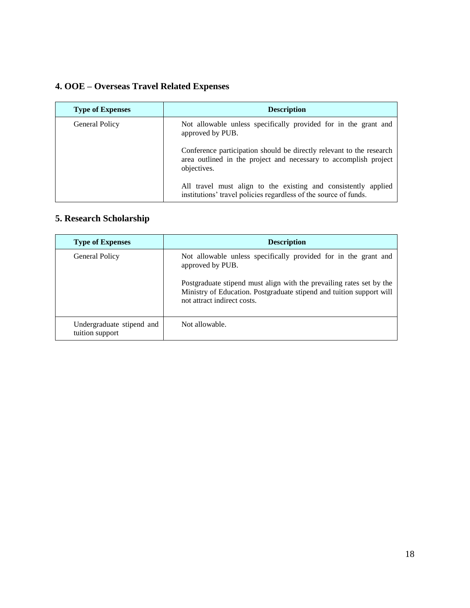# **4. OOE – Overseas Travel Related Expenses**

| <b>Type of Expenses</b> | <b>Description</b>                                                                                                                                      |
|-------------------------|---------------------------------------------------------------------------------------------------------------------------------------------------------|
| <b>General Policy</b>   | Not allowable unless specifically provided for in the grant and<br>approved by PUB.                                                                     |
|                         | Conference participation should be directly relevant to the research<br>area outlined in the project and necessary to accomplish project<br>objectives. |
|                         | All travel must align to the existing and consistently applied<br>institutions' travel policies regardless of the source of funds.                      |

# **5. Research Scholarship**

| <b>Type of Expenses</b>                      | <b>Description</b>                                                                                                                                                                                                                                                 |
|----------------------------------------------|--------------------------------------------------------------------------------------------------------------------------------------------------------------------------------------------------------------------------------------------------------------------|
| <b>General Policy</b>                        | Not allowable unless specifically provided for in the grant and<br>approved by PUB.<br>Postgraduate stipend must align with the prevailing rates set by the<br>Ministry of Education. Postgraduate stipend and tuition support will<br>not attract indirect costs. |
| Undergraduate stipend and<br>tuition support | Not allowable.                                                                                                                                                                                                                                                     |